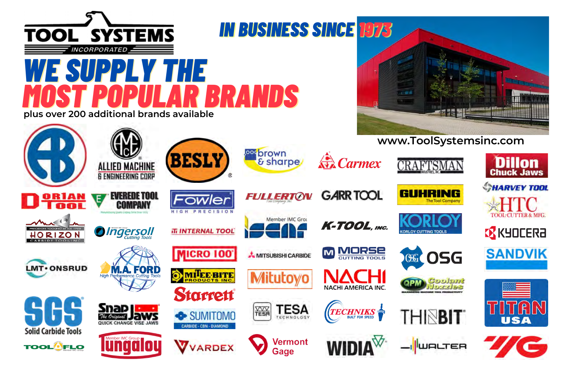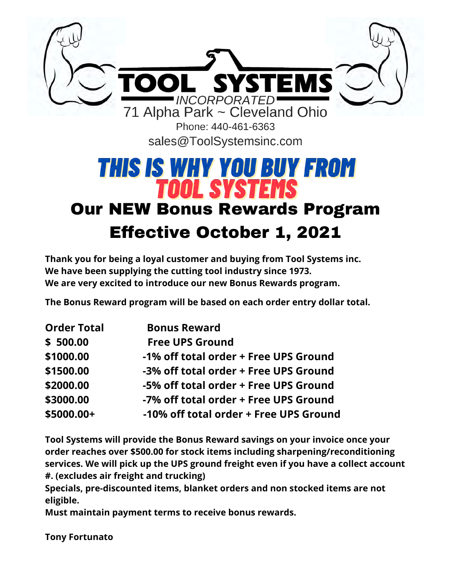

sales@ToolSystemsinc.com

## **THIS IS WHY YOU BUY FROM TOOL SYSTEMS** Our NEW Bonus Rewards Program

## Effective October 1, 2021

**Thank you for being a loyal customer and buying from Tool Systems inc. We have been supplying the cutting tool industry since 1973. We are very excited to introduce our new Bonus Rewards program.**

**The Bonus Reward program will be based on each order entry dollar total.**

| <b>Order Total</b> | <b>Bonus Reward</b>                    |
|--------------------|----------------------------------------|
| \$500.00           | <b>Free UPS Ground</b>                 |
| \$1000.00          | -1% off total order + Free UPS Ground  |
| \$1500.00          | -3% off total order + Free UPS Ground  |
| \$2000.00          | -5% off total order + Free UPS Ground  |
| \$3000.00          | -7% off total order + Free UPS Ground  |
| \$5000.00+         | -10% off total order + Free UPS Ground |

**Tool Systems will provide the Bonus Reward savings on your invoice once your order reaches over \$500.00 for stock items including sharpening/reconditioning services. We will pick up the UPS ground freight even if you have a collect account #. (excludes air freight and trucking)**

**Specials, pre-discounted items, blanket orders and non stocked items are not eligible.**

**Must maintain payment terms to receive bonus rewards.**

**Tony Fortunato**